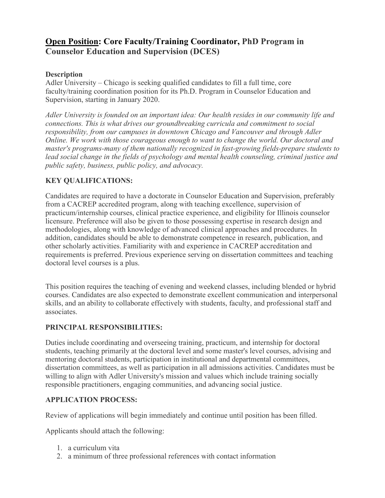# **Open Position: Core Faculty/Training Coordinator, PhD Program in Counselor Education and Supervision (DCES)**

#### **Description**

Adler University – Chicago is seeking qualified candidates to fill a full time, core faculty/training coordination position for its Ph.D. Program in Counselor Education and Supervision, starting in January 2020.

*Adler University is founded on an important idea: Our health resides in our community life and connections. This is what drives our groundbreaking curricula and commitment to social responsibility, from our campuses in downtown Chicago and Vancouver and through Adler Online. We work with those courageous enough to want to change the world. Our doctoral and master's programs-many of them nationally recognized in fast-growing fields-prepare students to lead social change in the fields of psychology and mental health counseling, criminal justice and public safety, business, public policy, and advocacy.*

## **KEY QUALIFICATIONS:**

Candidates are required to have a doctorate in Counselor Education and Supervision, preferably from a CACREP accredited program, along with teaching excellence, supervision of practicum/internship courses, clinical practice experience, and eligibility for Illinois counselor licensure. Preference will also be given to those possessing expertise in research design and methodologies, along with knowledge of advanced clinical approaches and procedures. In addition, candidates should be able to demonstrate competence in research, publication, and other scholarly activities. Familiarity with and experience in CACREP accreditation and requirements is preferred. Previous experience serving on dissertation committees and teaching doctoral level courses is a plus.

This position requires the teaching of evening and weekend classes, including blended or hybrid courses. Candidates are also expected to demonstrate excellent communication and interpersonal skills, and an ability to collaborate effectively with students, faculty, and professional staff and associates.

## **PRINCIPAL RESPONSIBILITIES:**

Duties include coordinating and overseeing training, practicum, and internship for doctoral students, teaching primarily at the doctoral level and some master's level courses, advising and mentoring doctoral students, participation in institutional and departmental committees, dissertation committees, as well as participation in all admissions activities. Candidates must be willing to align with Adler University's mission and values which include training socially responsible practitioners, engaging communities, and advancing social justice.

## **APPLICATION PROCESS:**

Review of applications will begin immediately and continue until position has been filled.

Applicants should attach the following:

- 1. a curriculum vita
- 2. a minimum of three professional references with contact information